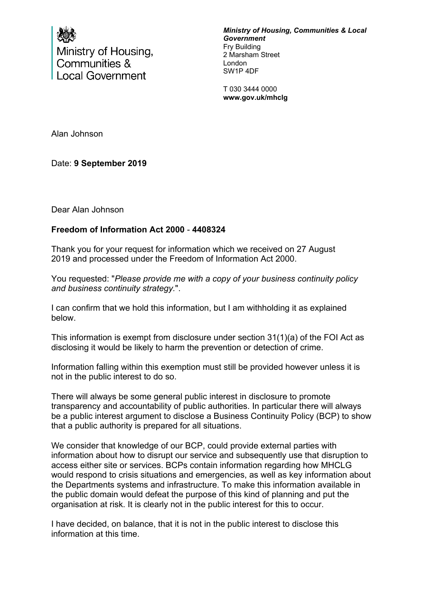

Ministry of Housing, Communities & **Local Government** 

*Ministry of Housing, Communities & Local Government* Fry Building 2 Marsham Street London SW1P 4DF

T 030 3444 0000 **www.gov.uk/mhclg**

Alan Johnson

Date: **9 September 2019**

Dear Alan Johnson

## **Freedom of Information Act 2000** - **4408324**

Thank you for your request for information which we received on 27 August 2019 and processed under the Freedom of Information Act 2000.

You requested: "*Please provide me with a copy of your business continuity policy and business continuity strategy.*".

I can confirm that we hold this information, but I am withholding it as explained below.

This information is exempt from disclosure under section 31(1)(a) of the FOI Act as disclosing it would be likely to harm the prevention or detection of crime.

Information falling within this exemption must still be provided however unless it is not in the public interest to do so.

There will always be some general public interest in disclosure to promote transparency and accountability of public authorities. In particular there will always be a public interest argument to disclose a Business Continuity Policy (BCP) to show that a public authority is prepared for all situations.

We consider that knowledge of our BCP, could provide external parties with information about how to disrupt our service and subsequently use that disruption to access either site or services. BCPs contain information regarding how MHCLG would respond to crisis situations and emergencies, as well as key information about the Departments systems and infrastructure. To make this information available in the public domain would defeat the purpose of this kind of planning and put the organisation at risk. It is clearly not in the public interest for this to occur.

I have decided, on balance, that it is not in the public interest to disclose this information at this time.